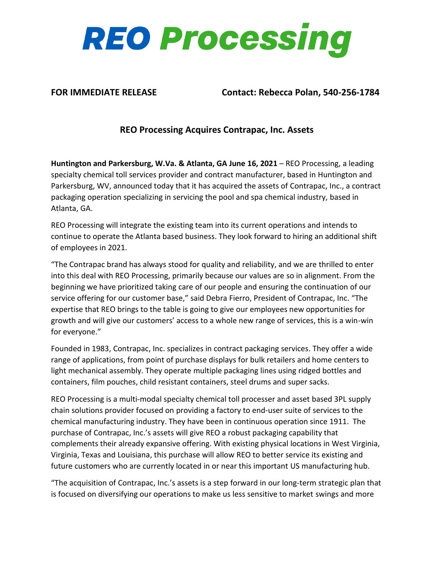

**FOR IMMEDIATE RELEASE Contact: Rebecca Polan, 540-256-1784**

## **REO Processing Acquires Contrapac, Inc. Assets**

**Huntington and Parkersburg, W.Va. & Atlanta, GA June 16, 2021** – REO Processing, a leading specialty chemical toll services provider and contract manufacturer, based in Huntington and Parkersburg, WV, announced today that it has acquired the assets of Contrapac, Inc., a contract packaging operation specializing in servicing the pool and spa chemical industry, based in Atlanta, GA.

REO Processing will integrate the existing team into its current operations and intends to continue to operate the Atlanta based business. They look forward to hiring an additional shift of employees in 2021.

"The Contrapac brand has always stood for quality and reliability, and we are thrilled to enter into this deal with REO Processing, primarily because our values are so in alignment. From the beginning we have prioritized taking care of our people and ensuring the continuation of our service offering for our customer base," said Debra Fierro, President of Contrapac, Inc. "The expertise that REO brings to the table is going to give our employees new opportunities for growth and will give our customers' access to a whole new range of services, this is a win-win for everyone."

Founded in 1983, Contrapac, Inc. specializes in contract packaging services. They offer a wide range of applications, from point of purchase displays for bulk retailers and home centers to light mechanical assembly. They operate multiple packaging lines using ridged bottles and containers, film pouches, child resistant containers, steel drums and super sacks.

REO Processing is a multi-modal specialty chemical toll processer and asset based 3PL supply chain solutions provider focused on providing a factory to end-user suite of services to the chemical manufacturing industry. They have been in continuous operation since 1911. The purchase of Contrapac, Inc.'s assets will give REO a robust packaging capability that complements their already expansive offering. With existing physical locations in West Virginia, Virginia, Texas and Louisiana, this purchase will allow REO to better service its existing and future customers who are currently located in or near this important US manufacturing hub.

"The acquisition of Contrapac, Inc.'s assets is a step forward in our long-term strategic plan that is focused on diversifying our operations to make us less sensitive to market swings and more